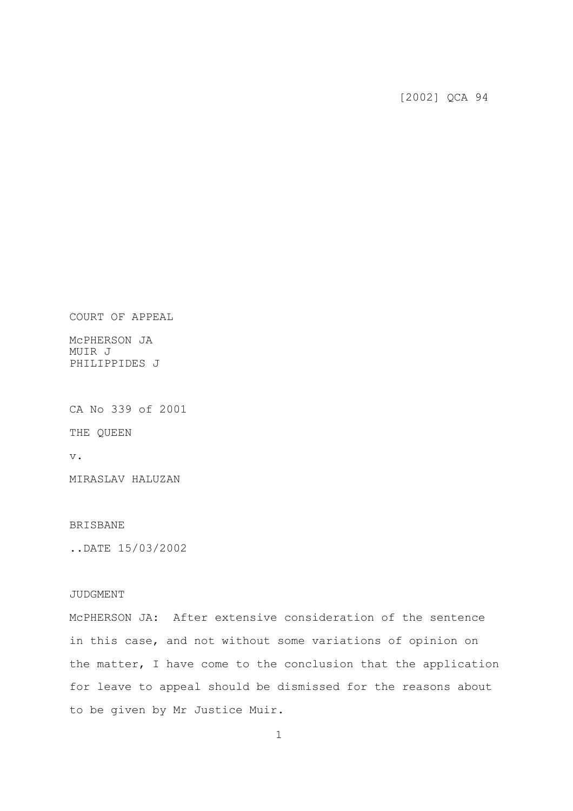[2002] QCA 94

COURT OF APPEAL

McPHERSON JA MUIR J PHILIPPIDES J

CA No 339 of 2001

THE QUEEN

v.

MIRASLAV HALUZAN

## BRISBANE

..DATE 15/03/2002

## JUDGMENT

McPHERSON JA: After extensive consideration of the sentence in this case, and not without some variations of opinion on the matter, I have come to the conclusion that the application for leave to appeal should be dismissed for the reasons about to be given by Mr Justice Muir.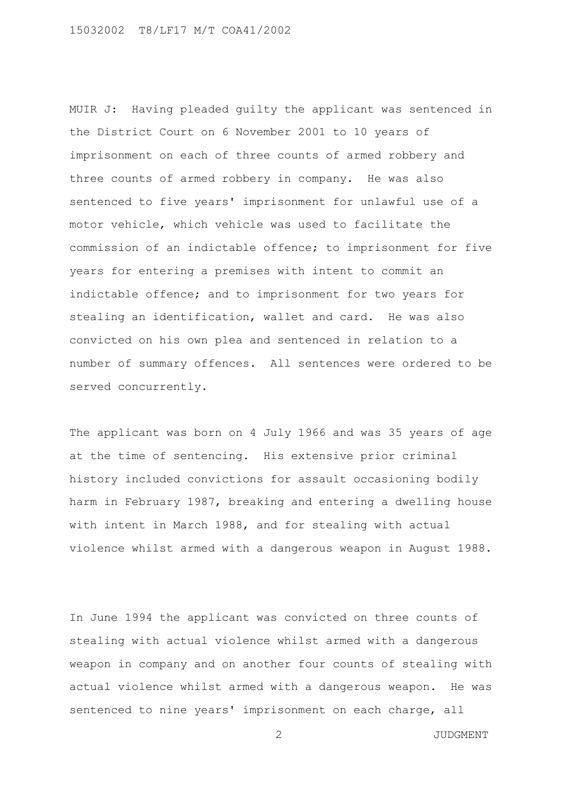MUIR J: Having pleaded guilty the applicant was sentenced in the District Court on 6 November 2001 to 10 years of imprisonment on each of three counts of armed robbery and three counts of armed robbery in company. He was also sentenced to five years' imprisonment for unlawful use of a motor vehicle, which vehicle was used to facilitate the commission of an indictable offence; to imprisonment for five years for entering a premises with intent to commit an indictable offence; and to imprisonment for two years for stealing an identification, wallet and card. He was also convicted on his own plea and sentenced in relation to a number of summary offences. All sentences were ordered to be served concurrently.

The applicant was born on 4 July 1966 and was 35 years of age at the time of sentencing. His extensive prior criminal history included convictions for assault occasioning bodily harm in February 1987, breaking and entering a dwelling house with intent in March 1988, and for stealing with actual violence whilst armed with a dangerous weapon in August 1988.

In June 1994 the applicant was convicted on three counts of stealing with actual violence whilst armed with a dangerous weapon in company and on another four counts of stealing with actual violence whilst armed with a dangerous weapon. He was sentenced to nine years' imprisonment on each charge, all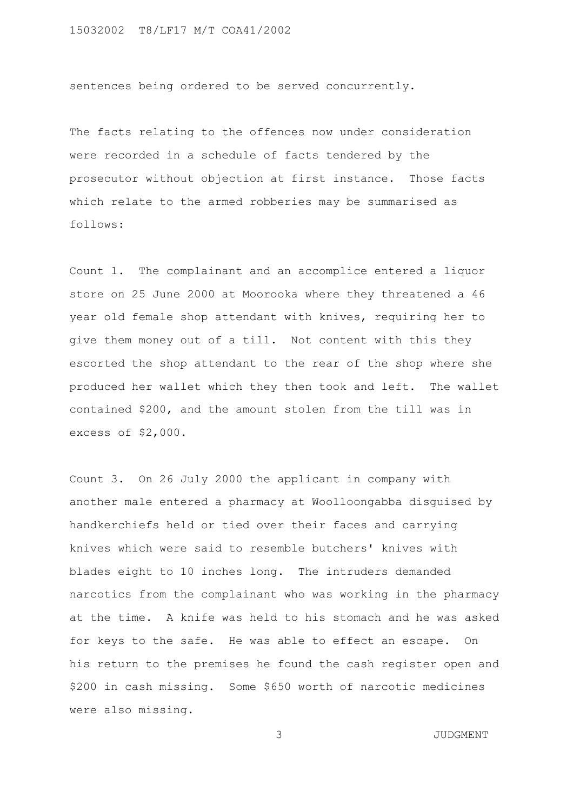sentences being ordered to be served concurrently.

The facts relating to the offences now under consideration were recorded in a schedule of facts tendered by the prosecutor without objection at first instance. Those facts which relate to the armed robberies may be summarised as follows:

Count 1. The complainant and an accomplice entered a liquor store on 25 June 2000 at Moorooka where they threatened a 46 year old female shop attendant with knives, requiring her to give them money out of a till. Not content with this they escorted the shop attendant to the rear of the shop where she produced her wallet which they then took and left. The wallet contained \$200, and the amount stolen from the till was in excess of \$2,000.

Count 3. On 26 July 2000 the applicant in company with another male entered a pharmacy at Woolloongabba disguised by handkerchiefs held or tied over their faces and carrying knives which were said to resemble butchers' knives with blades eight to 10 inches long. The intruders demanded narcotics from the complainant who was working in the pharmacy at the time. A knife was held to his stomach and he was asked for keys to the safe. He was able to effect an escape. On his return to the premises he found the cash register open and \$200 in cash missing. Some \$650 worth of narcotic medicines were also missing.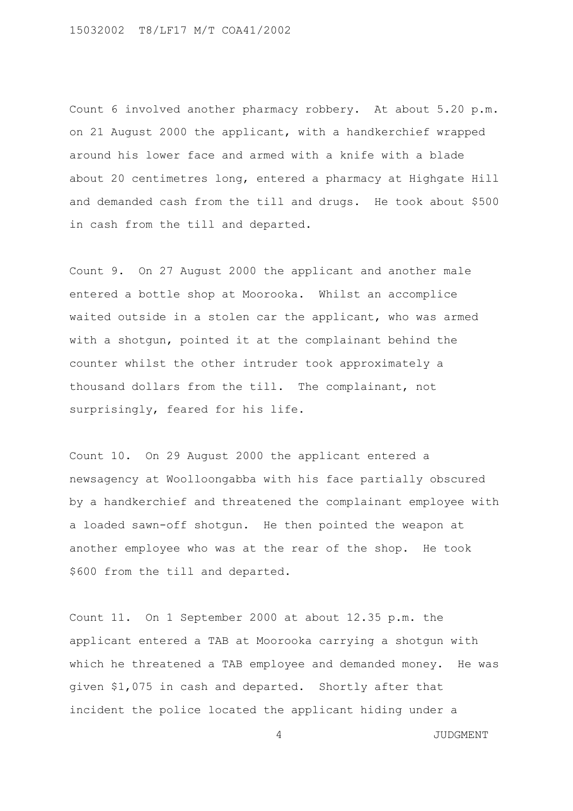Count 6 involved another pharmacy robbery. At about 5.20 p.m. on 21 August 2000 the applicant, with a handkerchief wrapped around his lower face and armed with a knife with a blade about 20 centimetres long, entered a pharmacy at Highgate Hill and demanded cash from the till and drugs. He took about \$500 in cash from the till and departed.

Count 9. On 27 August 2000 the applicant and another male entered a bottle shop at Moorooka. Whilst an accomplice waited outside in a stolen car the applicant, who was armed with a shotgun, pointed it at the complainant behind the counter whilst the other intruder took approximately a thousand dollars from the till. The complainant, not surprisingly, feared for his life.

Count 10. On 29 August 2000 the applicant entered a newsagency at Woolloongabba with his face partially obscured by a handkerchief and threatened the complainant employee with a loaded sawn-off shotgun. He then pointed the weapon at another employee who was at the rear of the shop. He took \$600 from the till and departed.

Count 11. On 1 September 2000 at about 12.35 p.m. the applicant entered a TAB at Moorooka carrying a shotgun with which he threatened a TAB employee and demanded money. He was given \$1,075 in cash and departed. Shortly after that incident the police located the applicant hiding under a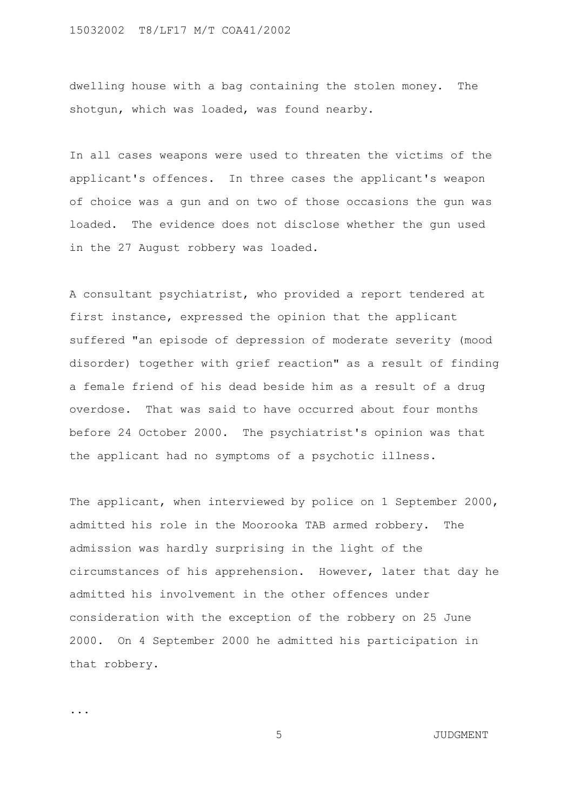dwelling house with a bag containing the stolen money. The shotgun, which was loaded, was found nearby.

In all cases weapons were used to threaten the victims of the applicant's offences. In three cases the applicant's weapon of choice was a gun and on two of those occasions the gun was loaded. The evidence does not disclose whether the gun used in the 27 August robbery was loaded.

A consultant psychiatrist, who provided a report tendered at first instance, expressed the opinion that the applicant suffered "an episode of depression of moderate severity (mood disorder) together with grief reaction" as a result of finding a female friend of his dead beside him as a result of a drug overdose. That was said to have occurred about four months before 24 October 2000. The psychiatrist's opinion was that the applicant had no symptoms of a psychotic illness.

The applicant, when interviewed by police on 1 September 2000, admitted his role in the Moorooka TAB armed robbery. The admission was hardly surprising in the light of the circumstances of his apprehension. However, later that day he admitted his involvement in the other offences under consideration with the exception of the robbery on 25 June 2000. On 4 September 2000 he admitted his participation in that robbery.

...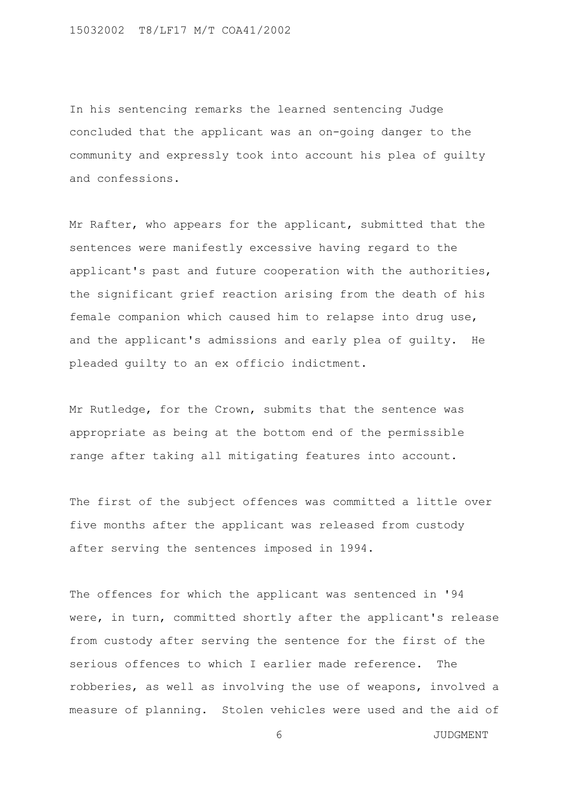In his sentencing remarks the learned sentencing Judge concluded that the applicant was an on-going danger to the community and expressly took into account his plea of guilty and confessions.

Mr Rafter, who appears for the applicant, submitted that the sentences were manifestly excessive having regard to the applicant's past and future cooperation with the authorities, the significant grief reaction arising from the death of his female companion which caused him to relapse into drug use, and the applicant's admissions and early plea of guilty. He pleaded guilty to an ex officio indictment.

Mr Rutledge, for the Crown, submits that the sentence was appropriate as being at the bottom end of the permissible range after taking all mitigating features into account.

The first of the subject offences was committed a little over five months after the applicant was released from custody after serving the sentences imposed in 1994.

The offences for which the applicant was sentenced in '94 were, in turn, committed shortly after the applicant's release from custody after serving the sentence for the first of the serious offences to which I earlier made reference. The robberies, as well as involving the use of weapons, involved a measure of planning. Stolen vehicles were used and the aid of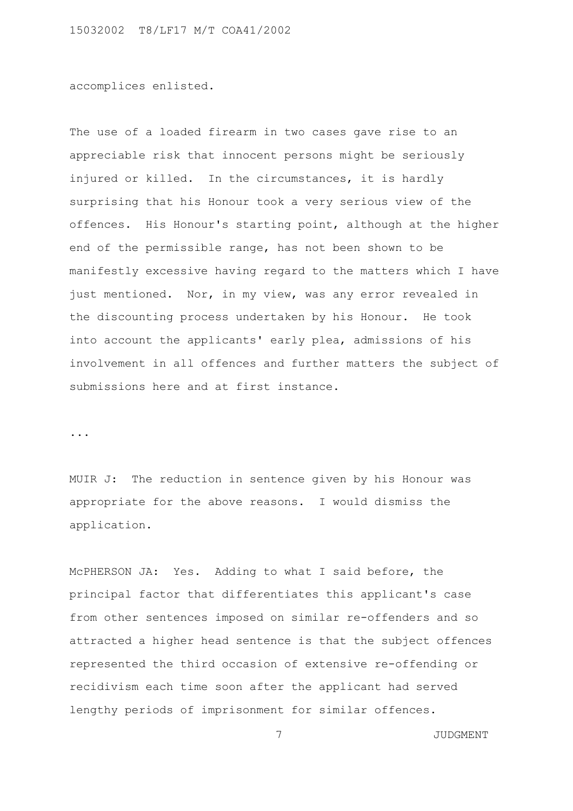accomplices enlisted.

The use of a loaded firearm in two cases gave rise to an appreciable risk that innocent persons might be seriously injured or killed. In the circumstances, it is hardly surprising that his Honour took a very serious view of the offences. His Honour's starting point, although at the higher end of the permissible range, has not been shown to be manifestly excessive having regard to the matters which I have just mentioned. Nor, in my view, was any error revealed in the discounting process undertaken by his Honour. He took into account the applicants' early plea, admissions of his involvement in all offences and further matters the subject of submissions here and at first instance.

...

MUIR J: The reduction in sentence given by his Honour was appropriate for the above reasons. I would dismiss the application.

McPHERSON JA: Yes. Adding to what I said before, the principal factor that differentiates this applicant's case from other sentences imposed on similar re-offenders and so attracted a higher head sentence is that the subject offences represented the third occasion of extensive re-offending or recidivism each time soon after the applicant had served lengthy periods of imprisonment for similar offences.